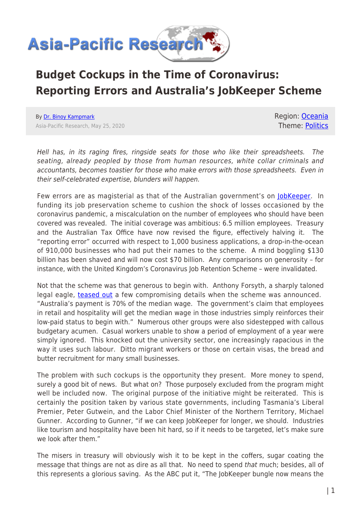

## **Budget Cockups in the Time of Coronavirus: Reporting Errors and Australia's JobKeeper Scheme**

By [Dr. Binoy Kampmark](https://www.asia-pacificresearch.com/author/binoy-kampmark) Asia-Pacific Research, May 25, 2020 Region: [Oceania](https://www.asia-pacificresearch.com/region/as-oceania) Theme: [Politics](https://www.asia-pacificresearch.com/theme/politics)

Hell has, in its raging fires, ringside seats for those who like their spreadsheets. The seating, already peopled by those from human resources, white collar criminals and accountants, becomes toastier for those who make errors with those spreadsheets. Even in their self-celebrated expertise, blunders will happen.

Few errors are as magisterial as that of the Australian government's on [JobKeeper](https://treasury.gov.au/coronavirus/jobkeeper). In funding its job preservation scheme to cushion the shock of losses occasioned by the coronavirus pandemic, a miscalculation on the number of employees who should have been covered was revealed. The initial coverage was ambitious: 6.5 million employees. Treasury and the Australian Tax Office have now revised the figure, effectively halving it. The "reporting error" occurred with respect to 1,000 business applications, a drop-in-the-ocean of 910,000 businesses who had put their names to the scheme. A mind boggling \$130 billion has been shaved and will now cost \$70 billion. Any comparisons on generosity – for instance, with the United Kingdom's Coronavirus Job Retention Scheme – were invalidated.

Not that the scheme was that generous to begin with. Anthony Forsyth, a sharply taloned legal eagle, [teased out](https://theconversation.com/australias-130-billion-jobkeeper-payment-what-the-experts-think-135043) a few compromising details when the scheme was announced. "Australia's payment is 70% of the median wage. The government's claim that employees in retail and hospitality will get the median wage in those industries simply reinforces their low-paid status to begin with." Numerous other groups were also sidestepped with callous budgetary acumen. Casual workers unable to show a period of employment of a year were simply ignored. This knocked out the university sector, one increasingly rapacious in the way it uses such labour. Ditto migrant workers or those on certain visas, the bread and butter recruitment for many small businesses.

The problem with such cockups is the opportunity they present. More money to spend, surely a good bit of news. But what on? Those purposely excluded from the program might well be included now. The original purpose of the initiative might be reiterated. This is certainly the position taken by various state governments, including Tasmania's Liberal Premier, Peter Gutwein, and the Labor Chief Minister of the Northern Territory, Michael Gunner. According to Gunner, "if we can keep JobKeeper for longer, we should. Industries like tourism and hospitality have been hit hard, so if it needs to be targeted, let's make sure we look after them."

The misers in treasury will obviously wish it to be kept in the coffers, sugar coating the message that things are not as dire as all that. No need to spend that much; besides, all of this represents a glorious saving. As the ABC put it, "The JobKeeper bungle now means the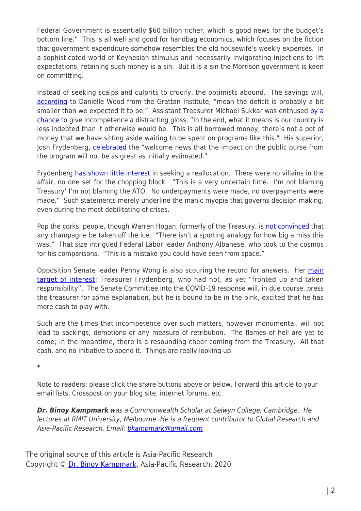Federal Government is essentially \$60 billion richer, which is good news for the budget's bottom line." This is all well and good for handbag economics, which focuses on the fiction that government expenditure somehow resembles the old housewife's weekly expenses. In a sophisticated world of Keynesian stimulus and necessarily invigorating injections to lift expectations, retaining such money is a sin. But it is a sin the Morrison government is keen on committing.

Instead of seeking scalps and culprits to crucify, the optimists abound. The savings will, [according](https://www.abc.net.au/news/2020-05-23/coronavirus-jobkeeper-bungle-a-good-thing-for-budget-bottom-line/12278432) to Danielle Wood from the Grattan Institute, "mean the deficit is probably a bit smaller than we expected it to be." Assistant Treasurer Michael Sukkar was enthused [by a](https://7news.com.au/business/finance/jobkeeper-stuff-up-governments-60-billion-dollar-error-c-1053808?fbclid=IwAR38Vtg--nJW_a1q50e2Ft8tTmcQzSbhhyGrkbpaKXCbfLvS_lVZ9BrkgV0) [chance](https://7news.com.au/business/finance/jobkeeper-stuff-up-governments-60-billion-dollar-error-c-1053808?fbclid=IwAR38Vtg--nJW_a1q50e2Ft8tTmcQzSbhhyGrkbpaKXCbfLvS_lVZ9BrkgV0) to give incompetence a distracting gloss. "In the end, what it means is our country is less indebted than it otherwise would be. This is all borrowed money; there's not a pot of money that we have sitting aside waiting to be spent on programs like this." His superior, Josh Frydenberg, [celebrated](https://www.abc.net.au/news/2020-05-24/coronavirus-jobkeeper-wage-subsidy-josh-frydenberg-60-billion/12280716) the "welcome news that the impact on the public purse from the program will not be as great as initially estimated."

Frydenberg [has shown little interest](https://www.abc.net.au/news/2020-05-22/jobkeeper-numbers-cut-by-3-million-businesses-accounting-bungle/12277488) in seeking a reallocation. There were no villains in the affair, no one set for the chopping block. "This is a very uncertain time. I'm not blaming Treasury' I'm not blaming the ATO. No underpayments were made, no overpayments were made." Such statements merely underline the manic myopia that governs decision making, even during the most debilitating of crises.

Pop the corks, people, though Warren Hogan, formerly of the Treasury, is [not convinced](https://www.abc.net.au/news/2020-05-23/coronavirus-jobkeeper-bungle-a-good-thing-for-budget-bottom-line/12278432) that any champagne be taken off the ice. "There isn't a sporting analogy for how big a miss this was." That size intrigued Federal Labor leader Anthony Albanese, who took to the cosmos for his comparisons. "This is a mistake you could have seen from space."

Opposition Senate leader Penny Wong is also scouring the record for answers. Her [main](https://www.abc.net.au/news/2020-05-24/coronavirus-jobkeeper-wage-subsidy-josh-frydenberg-60-billion/12280716) [target of interest:](https://www.abc.net.au/news/2020-05-24/coronavirus-jobkeeper-wage-subsidy-josh-frydenberg-60-billion/12280716) Treasurer Frydenberg, who had not, as yet "fronted up and taken responsibility". The Senate Committee into the COVID-19 response will, in due course, press the treasurer for some explanation, but he is bound to be in the pink, excited that he has more cash to play with.

Such are the times that incompetence over such matters, however monumental, will not lead to sackings, demotions or any measure of retribution. The flames of hell are yet to come; in the meantime, there is a resounding cheer coming from the Treasury. All that cash, and no initiative to spend it. Things are really looking up.

\*

Note to readers: please click the share buttons above or below. Forward this article to your email lists. Crosspost on your blog site, internet forums. etc.

*Dr. Binoy Kampmark* was a Commonwealth Scholar at Selwyn College, Cambridge. He lectures at RMIT University, Melbourne. He is a frequent contributor to Global Research and Asia-Pacific Research. Email: [bkampmark@gmail.com](mailto:bkampmark@gmail.com)

The original source of this article is Asia-Pacific Research Copyright © [Dr. Binoy Kampmark](https://www.asia-pacificresearch.com/author/binoy-kampmark), Asia-Pacific Research, 2020